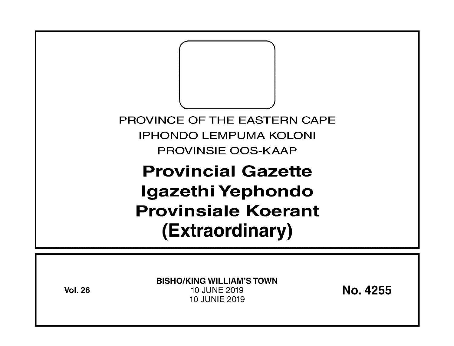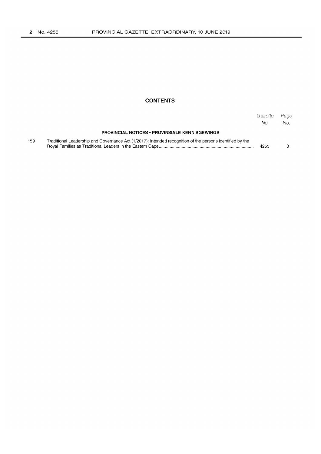### **CONTENTS**

|     |                                                                                                           | Gazette<br>No. | Page<br>No. |
|-----|-----------------------------------------------------------------------------------------------------------|----------------|-------------|
|     | <b>PROVINCIAL NOTICES • PROVINSIALE KENNISGEWINGS</b>                                                     |                |             |
| 159 | Traditional Leadership and Governance Act (1/2017): Intended recognition of the persons identified by the | 4255           |             |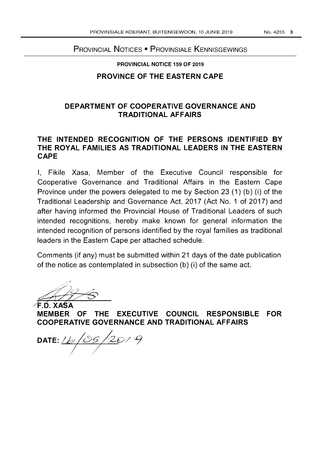# PROVINCIAL NOTICES • PROVINSIALE KENNISGEWINGS

#### PROVINCIAL NOTICE 159 OF 2019

## **PROVINCE OF THE EASTERN CAPE**

# **DEPARTMENT OF COOPERATIVE GOVERNANCE AND TRADITIONAL AFFAIRS**

## **THE INTENDED RECOGNITION OF THE PERSONS IDENTIFIED BY THE ROYAL FAMILIES AS TRADITIONAL LEADERS IN THE EASTERN CAPE**

I, Fikile Xasa, Member of the Executive Council responsible for Cooperative Governance and Traditional Affairs in the Eastern Cape Province under the powers delegated to me by Section 23 (1) (b) (i) of the Traditional Leadership and Governance Act, 2017 (Act No. 1 of 2017) and after having informed the Provincial House of Traditional Leaders of such intended recognitions, hereby make known for general information the intended recognition of persons identified by the royal families as traditional leaders in the Eastern Cape per attached schedule.

Comments (if any) must be submitted within 21 days of the date publication of the notice as contemplated in subsection (b) (i) of the same act.

 $\frac{1}{\sqrt{1-\frac{1}{1-\frac{1}{1-\frac{1}{1-\frac{1}{1-\frac{1}{1-\frac{1}{1-\frac{1}{1-\frac{1}{1-\frac{1}{1-\frac{1}{1-\frac{1}{1-\frac{1}{1-\frac{1}{1-\frac{1}{1-\frac{1}{1-\frac{1}{1-\frac{1}{1-\frac{1}{1-\frac{1}{1-\frac{1}{1-\frac{1}{1-\frac{1}{1-\frac{1}{1-\frac{1}{1-\frac{1}{1-\frac{1}{1-\frac{1}{1-\frac{1}{1-\frac{1}{1-\frac{1}{1-\frac{1}{1-\frac{1}{1-\frac{1}{1-\frac{1}{1-\frac{1}{1-\$ 

**MEMBER OF THE EXECUTIVE COUNCIL RESPONSIBLE FOR COOPERATIVE GOVERNANCE AND TRADITIONAL AFFAIRS** 

 $\frac{\sqrt{25}}{20}$ / 9